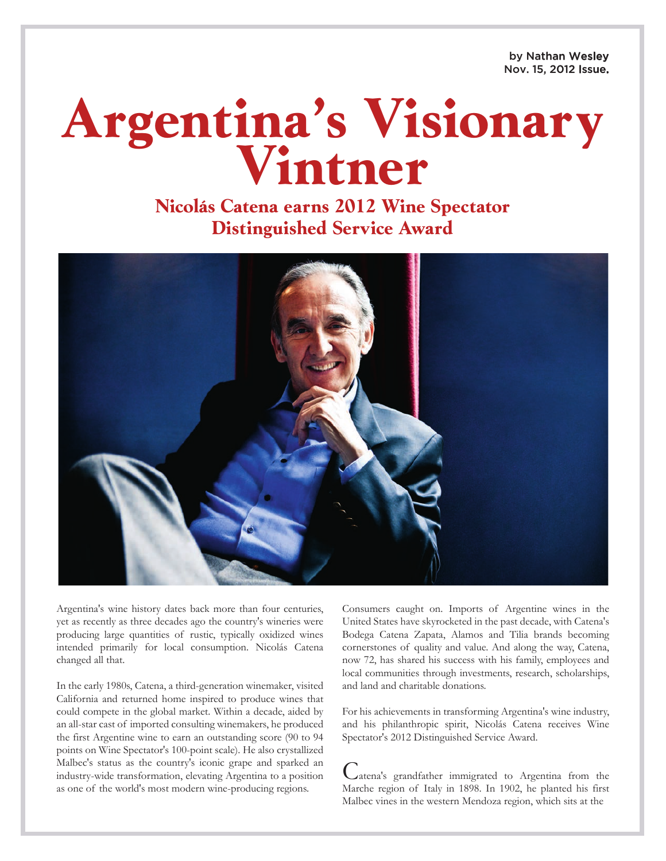by Nathan Wesley Nov. 15, 2012 Issue.

## **Argentina's Visionary Vintner**

**Nicolás Catena earns 2012 Wine Spectator Distinguished Service Award**



Argentina's wine history dates back more than four centuries, yet as recently as three decades ago the country's wineries were producing large quantities of rustic, typically oxidized wines intended primarily for local consumption. Nicolás Catena changed all that.

In the early 1980s, Catena, a third-generation winemaker, visited California and returned home inspired to produce wines that could compete in the global market. Within a decade, aided by an all-star cast of imported consulting winemakers, he produced the first Argentine wine to earn an outstanding score (90 to 94 points on Wine Spectator's 100-point scale). He also crystallized Malbec's status as the country's iconic grape and sparked an industry-wide transformation, elevating Argentina to a position as one of the world's most modern wine-producing regions.

Consumers caught on. Imports of Argentine wines in the United States have skyrocketed in the past decade, with Catena's Bodega Catena Zapata, Alamos and Tilia brands becoming cornerstones of quality and value. And along the way, Catena, now 72, has shared his success with his family, employees and local communities through investments, research, scholarships, and land and charitable donations.

For his achievements in transforming Argentina's wine industry, and his philanthropic spirit, Nicolás Catena receives Wine Spectator's 2012 Distinguished Service Award.

Catena's grandfather immigrated to Argentina from the Marche region of Italy in 1898. In 1902, he planted his first Malbec vines in the western Mendoza region, which sits at the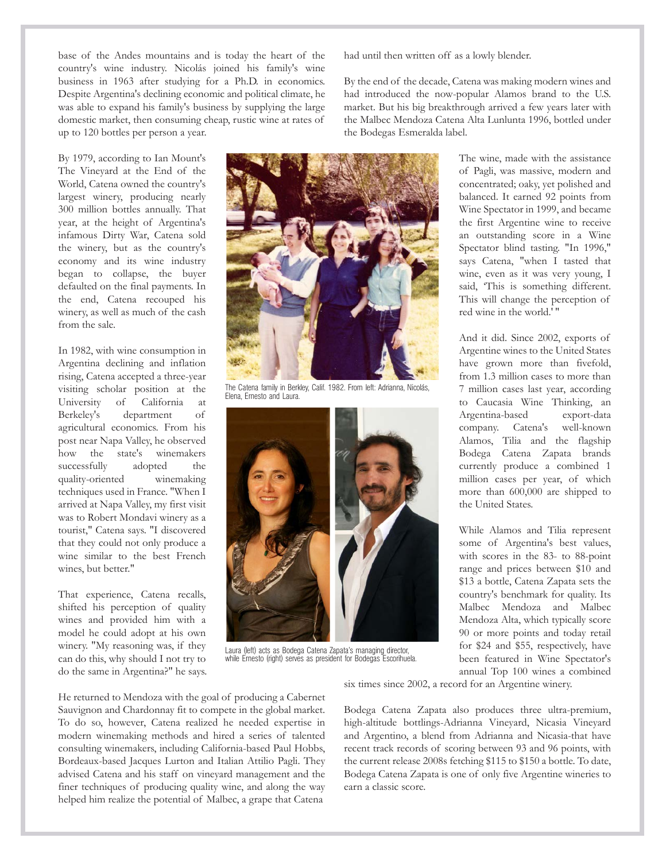base of the Andes mountains and is today the heart of the country's wine industry. Nicolás joined his family's wine business in 1963 after studying for a Ph.D. in economics. Despite Argentina's declining economic and political climate, he was able to expand his family's business by supplying the large domestic market, then consuming cheap, rustic wine at rates of up to 120 bottles per person a year.

By 1979, according to Ian Mount's The Vineyard at the End of the World, Catena owned the country's largest winery, producing nearly 300 million bottles annually. That year, at the height of Argentina's infamous Dirty War, Catena sold the winery, but as the country's economy and its wine industry began to collapse, the buyer defaulted on the final payments. In the end, Catena recouped his winery, as well as much of the cash from the sale.

In 1982, with wine consumption in Argentina declining and inflation rising, Catena accepted a three-year visiting scholar position at the University of California at Berkeley's department of agricultural economics. From his post near Napa Valley, he observed how the state's winemakers successfully adopted the quality-oriented winemaking techniques used in France. "When I arrived at Napa Valley, my first visit was to Robert Mondavi winery as a tourist," Catena says. "I discovered that they could not only produce a wine similar to the best French wines, but better."

That experience, Catena recalls, shifted his perception of quality wines and provided him with a model he could adopt at his own winery. "My reasoning was, if they can do this, why should I not try to do the same in Argentina?" he says. had until then written off as a lowly blender.

By the end of the decade, Catena was making modern wines and had introduced the now-popular Alamos brand to the U.S. market. But his big breakthrough arrived a few years later with the Malbec Mendoza Catena Alta Lunlunta 1996, bottled under the Bodegas Esmeralda label.



The Catena family in Berkley, Calif. 1982. From left: Adrianna, Nicolás, Elena, Ernesto and Laura.



Laura (left) acts as Bodega Catena Zapata's managing director, while Ernesto (right) serves as president for Bodegas Escorihuela.

The wine, made with the assistance of Pagli, was massive, modern and concentrated; oaky, yet polished and balanced. It earned 92 points from Wine Spectator in 1999, and became the first Argentine wine to receive an outstanding score in a Wine Spectator blind tasting. "In 1996," says Catena, "when I tasted that wine, even as it was very young, I said, 'This is something different. This will change the perception of red wine in the world.' "

And it did. Since 2002, exports of Argentine wines to the United States have grown more than fivefold, from 1.3 million cases to more than 7 million cases last year, according to Caucasia Wine Thinking, an Argentina-based export-data company. Catena's well-known Alamos, Tilia and the flagship Bodega Catena Zapata brands currently produce a combined 1 million cases per year, of which more than 600,000 are shipped to the United States.

While Alamos and Tilia represent some of Argentina's best values, with scores in the 83- to 88-point range and prices between \$10 and \$13 a bottle, Catena Zapata sets the country's benchmark for quality. Its Malbec Mendoza and Malbec Mendoza Alta, which typically score 90 or more points and today retail for \$24 and \$55, respectively, have been featured in Wine Spectator's annual Top 100 wines a combined

six times since 2002, a record for an Argentine winery.

He returned to Mendoza with the goal of producing a Cabernet Sauvignon and Chardonnay fit to compete in the global market. To do so, however, Catena realized he needed expertise in modern winemaking methods and hired a series of talented consulting winemakers, including California-based Paul Hobbs, Bordeaux-based Jacques Lurton and Italian Attilio Pagli. They advised Catena and his staff on vineyard management and the finer techniques of producing quality wine, and along the way helped him realize the potential of Malbec, a grape that Catena

Bodega Catena Zapata also produces three ultra-premium, high-altitude bottlings-Adrianna Vineyard, Nicasia Vineyard and Argentino, a blend from Adrianna and Nicasia-that have recent track records of scoring between 93 and 96 points, with the current release 2008s fetching \$115 to \$150 a bottle. To date, Bodega Catena Zapata is one of only five Argentine wineries to earn a classic score.